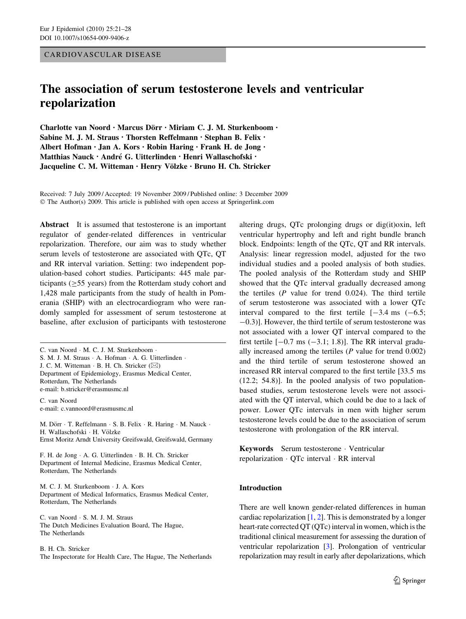# CARDIOVASCULAR DISEASE

# The association of serum testosterone levels and ventricular repolarization

Charlotte van Noord · Marcus Dörr · Miriam C. J. M. Sturkenboom · Sabine M. J. M. Straus • Thorsten Reffelmann • Stephan B. Felix • Albert Hofman • Jan A. Kors • Robin Haring • Frank H. de Jong • Matthias Nauck · André G. Uitterlinden · Henri Wallaschofski · Jacqueline C. M. Witteman · Henry Völzke · Bruno H. Ch. Stricker

Received: 7 July 2009 / Accepted: 19 November 2009 / Published online: 3 December 2009  $\odot$  The Author(s) 2009. This article is published with open access at Springerlink.com

Abstract It is assumed that testosterone is an important regulator of gender-related differences in ventricular repolarization. Therefore, our aim was to study whether serum levels of testosterone are associated with QTc, QT and RR interval variation. Setting: two independent population-based cohort studies. Participants: 445 male participants ( $\geq$ 55 years) from the Rotterdam study cohort and 1,428 male participants from the study of health in Pomerania (SHIP) with an electrocardiogram who were randomly sampled for assessment of serum testosterone at baseline, after exclusion of participants with testosterone

C. van Noord · M. C. J. M. Sturkenboom · S. M. J. M. Straus · A. Hofman · A. G. Uitterlinden · J. C. M. Witteman  $\cdot$  B. H. Ch. Stricker ( $\boxtimes$ ) Department of Epidemiology, Erasmus Medical Center, Rotterdam, The Netherlands e-mail: b.stricker@erasmusmc.nl

C. van Noord e-mail: c.vannoord@erasmusmc.nl

M. Dörr · T. Reffelmann · S. B. Felix · R. Haring · M. Nauck · H. Wallaschofski · H. Völzke Ernst Moritz Arndt University Greifswald, Greifswald, Germany

F. H. de Jong · A. G. Uitterlinden · B. H. Ch. Stricker Department of Internal Medicine, Erasmus Medical Center, Rotterdam, The Netherlands

M. C. J. M. Sturkenboom  $\cdot$  J. A. Kors Department of Medical Informatics, Erasmus Medical Center, Rotterdam, The Netherlands

C. van Noord · S. M. J. M. Straus The Dutch Medicines Evaluation Board, The Hague, The Netherlands

B. H. Ch. Stricker The Inspectorate for Health Care, The Hague, The Netherlands altering drugs, QTc prolonging drugs or dig(it)oxin, left ventricular hypertrophy and left and right bundle branch block. Endpoints: length of the QTc, QT and RR intervals. Analysis: linear regression model, adjusted for the two individual studies and a pooled analysis of both studies. The pooled analysis of the Rotterdam study and SHIP showed that the QTc interval gradually decreased among the tertiles  $(P$  value for trend 0.024). The third tertile of serum testosterone was associated with a lower QTc interval compared to the first tertile  $[-3.4 \text{ ms } (-6.5)]$ -0.3)]. However, the third tertile of serum testosterone was not associated with a lower QT interval compared to the first tertile  $[-0.7 \text{ ms } (-3.1; 1.8)]$ . The RR interval gradually increased among the tertiles (P value for trend 0.002) and the third tertile of serum testosterone showed an increased RR interval compared to the first tertile [33.5 ms (12.2; 54.8)]. In the pooled analysis of two populationbased studies, serum testosterone levels were not associated with the QT interval, which could be due to a lack of power. Lower QTc intervals in men with higher serum testosterone levels could be due to the association of serum testosterone with prolongation of the RR interval.

Keywords Serum testosterone · Ventricular repolarization · QTc interval · RR interval

# Introduction

There are well known gender-related differences in human cardiac repolarization [\[1](#page-5-0), [2](#page-5-0)]. This is demonstrated by a longer heart-rate corrected QT (QTc) interval in women, which is the traditional clinical measurement for assessing the duration of ventricular repolarization [[3\]](#page-5-0). Prolongation of ventricular repolarization may result in early after depolarizations, which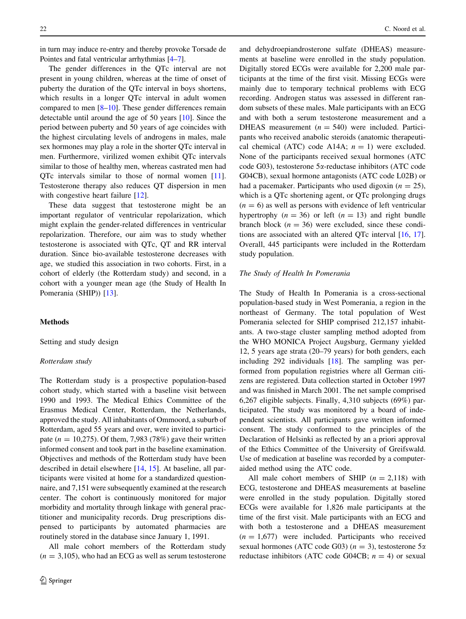in turn may induce re-entry and thereby provoke Torsade de Pointes and fatal ventricular arrhythmias [\[4–7\]](#page-6-0).

The gender differences in the QTc interval are not present in young children, whereas at the time of onset of puberty the duration of the QTc interval in boys shortens, which results in a longer QTc interval in adult women compared to men [[8–10\]](#page-6-0). These gender differences remain detectable until around the age of 50 years [\[10](#page-6-0)]. Since the period between puberty and 50 years of age coincides with the highest circulating levels of androgens in males, male sex hormones may play a role in the shorter QTc interval in men. Furthermore, virilized women exhibit QTc intervals similar to those of healthy men, whereas castrated men had QTc intervals similar to those of normal women [\[11](#page-6-0)]. Testosterone therapy also reduces QT dispersion in men with congestive heart failure [[12](#page-6-0)].

These data suggest that testosterone might be an important regulator of ventricular repolarization, which might explain the gender-related differences in ventricular repolarization. Therefore, our aim was to study whether testosterone is associated with QTc, QT and RR interval duration. Since bio-available testosterone decreases with age, we studied this association in two cohorts. First, in a cohort of elderly (the Rotterdam study) and second, in a cohort with a younger mean age (the Study of Health In Pomerania (SHIP)) [\[13](#page-6-0)].

# Methods

Setting and study design

#### Rotterdam study

The Rotterdam study is a prospective population-based cohort study, which started with a baseline visit between 1990 and 1993. The Medical Ethics Committee of the Erasmus Medical Center, Rotterdam, the Netherlands, approved the study. All inhabitants of Ommoord, a suburb of Rotterdam, aged 55 years and over, were invited to participate ( $n = 10,275$ ). Of them, 7,983 (78%) gave their written informed consent and took part in the baseline examination. Objectives and methods of the Rotterdam study have been described in detail elsewhere [[14,](#page-6-0) [15](#page-6-0)]. At baseline, all participants were visited at home for a standardized questionnaire, and 7,151 were subsequently examined at the research center. The cohort is continuously monitored for major morbidity and mortality through linkage with general practitioner and municipality records. Drug prescriptions dispensed to participants by automated pharmacies are routinely stored in the database since January 1, 1991.

All male cohort members of the Rotterdam study  $(n = 3,105)$ , who had an ECG as well as serum testosterone

and dehydroepiandrosterone sulfate (DHEAS) measurements at baseline were enrolled in the study population. Digitally stored ECGs were available for 2,200 male participants at the time of the first visit. Missing ECGs were mainly due to temporary technical problems with ECG recording. Androgen status was assessed in different random subsets of these males. Male participants with an ECG and with both a serum testosterone measurement and a DHEAS measurement  $(n = 540)$  were included. Participants who received anabolic steroids (anatomic therapeutical chemical (ATC) code A14A;  $n = 1$ ) were excluded. None of the participants received sexual hormones (ATC code G03), testosterone 5a-reductase inhibitors (ATC code G04CB), sexual hormone antagonists (ATC code L02B) or had a pacemaker. Participants who used digoxin ( $n = 25$ ), which is a QTc shortening agent, or QTc prolonging drugs  $(n = 6)$  as well as persons with evidence of left ventricular hypertrophy  $(n = 36)$  or left  $(n = 13)$  and right bundle branch block  $(n = 36)$  were excluded, since these conditions are associated with an altered QTc interval [[16,](#page-6-0) [17](#page-6-0)]. Overall, 445 participants were included in the Rotterdam study population.

## The Study of Health In Pomerania

The Study of Health In Pomerania is a cross-sectional population-based study in West Pomerania, a region in the northeast of Germany. The total population of West Pomerania selected for SHIP comprised 212,157 inhabitants. A two-stage cluster sampling method adopted from the WHO MONICA Project Augsburg, Germany yielded 12, 5 years age strata (20–79 years) for both genders, each including 292 individuals [[18\]](#page-6-0). The sampling was performed from population registries where all German citizens are registered. Data collection started in October 1997 and was finished in March 2001. The net sample comprised 6,267 eligible subjects. Finally, 4,310 subjects (69%) participated. The study was monitored by a board of independent scientists. All participants gave written informed consent. The study conformed to the principles of the Declaration of Helsinki as reflected by an a priori approval of the Ethics Committee of the University of Greifswald. Use of medication at baseline was recorded by a computeraided method using the ATC code.

All male cohort members of SHIP  $(n = 2,118)$  with ECG, testosterone and DHEAS measurements at baseline were enrolled in the study population. Digitally stored ECGs were available for 1,826 male participants at the time of the first visit. Male participants with an ECG and with both a testosterone and a DHEAS measurement  $(n = 1,677)$  were included. Participants who received sexual hormones (ATC code G03) ( $n = 3$ ), testosterone 5 $\alpha$ reductase inhibitors (ATC code G04CB;  $n = 4$ ) or sexual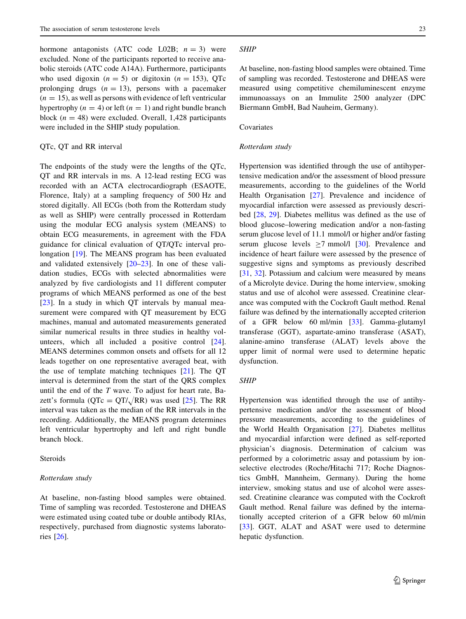hormone antagonists (ATC code L02B;  $n = 3$ ) were excluded. None of the participants reported to receive anabolic steroids (ATC code A14A). Furthermore, participants who used digoxin ( $n = 5$ ) or digitoxin ( $n = 153$ ), QTc prolonging drugs  $(n = 13)$ , persons with a pacemaker  $(n = 15)$ , as well as persons with evidence of left ventricular hypertrophy ( $n = 4$ ) or left ( $n = 1$ ) and right bundle branch block ( $n = 48$ ) were excluded. Overall, 1,428 participants were included in the SHIP study population.

## QTc, QT and RR interval

The endpoints of the study were the lengths of the QTc, QT and RR intervals in ms. A 12-lead resting ECG was recorded with an ACTA electrocardiograph (ESAOTE, Florence, Italy) at a sampling frequency of 500 Hz and stored digitally. All ECGs (both from the Rotterdam study as well as SHIP) were centrally processed in Rotterdam using the modular ECG analysis system (MEANS) to obtain ECG measurements, in agreement with the FDA guidance for clinical evaluation of QT/QTc interval prolongation [[19\]](#page-6-0). The MEANS program has been evaluated and validated extensively  $[20-23]$ . In one of these validation studies, ECGs with selected abnormalities were analyzed by five cardiologists and 11 different computer programs of which MEANS performed as one of the best [\[23](#page-6-0)]. In a study in which QT intervals by manual measurement were compared with QT measurement by ECG machines, manual and automated measurements generated similar numerical results in three studies in healthy volunteers, which all included a positive control [\[24](#page-6-0)]. MEANS determines common onsets and offsets for all 12 leads together on one representative averaged beat, with the use of template matching techniques [\[21](#page-6-0)]. The QT interval is determined from the start of the QRS complex until the end of the  $T$  wave. To adjust for heart rate, Bazett's formula ( $QTc = QT/\sqrt{RR}$ ) was used [[25\]](#page-6-0). The RR interval was taken as the median of the RR intervals in the recording. Additionally, the MEANS program determines left ventricular hypertrophy and left and right bundle branch block.

# **Steroids**

## Rotterdam study

At baseline, non-fasting blood samples were obtained. Time of sampling was recorded. Testosterone and DHEAS were estimated using coated tube or double antibody RIAs, respectively, purchased from diagnostic systems laboratories [\[26](#page-6-0)].

#### SHIP

At baseline, non-fasting blood samples were obtained. Time of sampling was recorded. Testosterone and DHEAS were measured using competitive chemiluminescent enzyme immunoassays on an Immulite 2500 analyzer (DPC Biermann GmbH, Bad Nauheim, Germany).

## Covariates

## Rotterdam study

Hypertension was identified through the use of antihypertensive medication and/or the assessment of blood pressure measurements, according to the guidelines of the World Health Organisation [[27\]](#page-6-0). Prevalence and incidence of myocardial infarction were assessed as previously described [[28,](#page-6-0) [29\]](#page-6-0). Diabetes mellitus was defined as the use of blood glucose–lowering medication and/or a non-fasting serum glucose level of 11.1 mmol/l or higher and/or fasting serum glucose levels  $\geq$ 7 mmol/l [[30\]](#page-6-0). Prevalence and incidence of heart failure were assessed by the presence of suggestive signs and symptoms as previously described [\[31](#page-6-0), [32](#page-6-0)]. Potassium and calcium were measured by means of a Microlyte device. During the home interview, smoking status and use of alcohol were assessed. Creatinine clearance was computed with the Cockroft Gault method. Renal failure was defined by the internationally accepted criterion of a GFR below 60 ml/min [[33](#page-6-0)]. Gamma-glutamyl transferase (GGT), aspartate-amino transferase (ASAT), alanine-amino transferase (ALAT) levels above the upper limit of normal were used to determine hepatic dysfunction.

## SHIP

Hypertension was identified through the use of antihypertensive medication and/or the assessment of blood pressure measurements, according to the guidelines of the World Health Organisation [\[27](#page-6-0)]. Diabetes mellitus and myocardial infarction were defined as self-reported physician's diagnosis. Determination of calcium was performed by a colorimetric assay and potassium by ionselective electrodes (Roche/Hitachi 717; Roche Diagnostics GmbH, Mannheim, Germany). During the home interview, smoking status and use of alcohol were assessed. Creatinine clearance was computed with the Cockroft Gault method. Renal failure was defined by the internationally accepted criterion of a GFR below 60 ml/min [\[33](#page-6-0)]. GGT, ALAT and ASAT were used to determine hepatic dysfunction.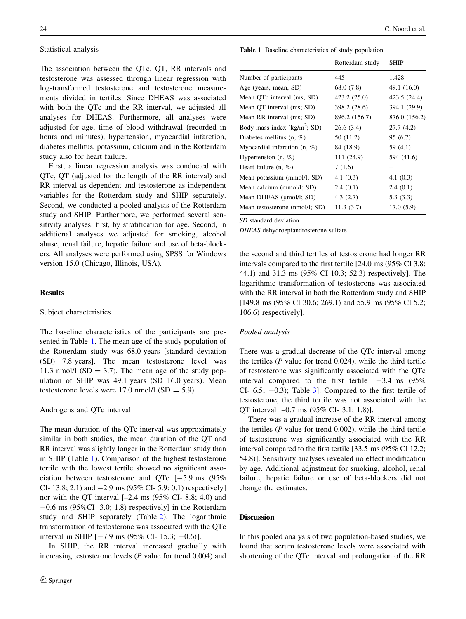#### <span id="page-3-0"></span>Statistical analysis

The association between the QTc, QT, RR intervals and testosterone was assessed through linear regression with log-transformed testosterone and testosterone measurements divided in tertiles. Since DHEAS was associated with both the QTc and the RR interval, we adjusted all analyses for DHEAS. Furthermore, all analyses were adjusted for age, time of blood withdrawal (recorded in hours and minutes), hypertension, myocardial infarction, diabetes mellitus, potassium, calcium and in the Rotterdam study also for heart failure.

First, a linear regression analysis was conducted with QTc, QT (adjusted for the length of the RR interval) and RR interval as dependent and testosterone as independent variables for the Rotterdam study and SHIP separately. Second, we conducted a pooled analysis of the Rotterdam study and SHIP. Furthermore, we performed several sensitivity analyses: first, by stratification for age. Second, in additional analyses we adjusted for smoking, alcohol abuse, renal failure, hepatic failure and use of beta-blockers. All analyses were performed using SPSS for Windows version 15.0 (Chicago, Illinois, USA).

#### Results

#### Subject characteristics

The baseline characteristics of the participants are presented in Table 1. The mean age of the study population of the Rotterdam study was 68.0 years [standard deviation (SD) 7.8 years]. The mean testosterone level was 11.3 nmol/l (SD = 3.7). The mean age of the study population of SHIP was 49.1 years (SD 16.0 years). Mean testosterone levels were 17.0 nmol/l  $(SD = 5.9)$ .

## Androgens and QTc interval

The mean duration of the QTc interval was approximately similar in both studies, the mean duration of the QT and RR interval was slightly longer in the Rotterdam study than in SHIP (Table 1). Comparison of the highest testosterone tertile with the lowest tertile showed no significant association between testosterone and QTc  $[-5.9 \text{ ms } (95\%$ CI- 13.8; 2.1) and  $-2.9 \text{ ms } (95\% \text{ CI-}5.9; 0.1)$  respectively nor with the QT interval  $[-2.4 \text{ ms } (95\% \text{ CI-}8.8; 4.0)$  and  $-0.6$  ms (95%CI- 3.0; 1.8) respectively] in the Rotterdam study and SHIP separately (Table [2\)](#page-4-0). The logarithmic transformation of testosterone was associated with the QTc interval in SHIP  $[-7.9 \text{ ms } (95\% \text{ CI- } 15.3; -0.6)].$ 

In SHIP, the RR interval increased gradually with increasing testosterone levels (P value for trend 0.004) and

Table 1 Baseline characteristics of study population

|                                 | Rotterdam study | SHIP          |
|---------------------------------|-----------------|---------------|
| Number of participants          | 445             | 1,428         |
| Age (years, mean, SD)           | 68.0 (7.8)      | 49.1 (16.0)   |
| Mean QTc interval (ms; SD)      | 423.2 (25.0)    | 423.5 (24.4)  |
| Mean OT interval (ms; SD)       | 398.2 (28.6)    | 394.1 (29.9)  |
| Mean RR interval (ms; SD)       | 896.2 (156.7)   | 876.0 (156.2) |
| Body mass index $(kg/m^2; SD)$  | 26.6(3.4)       | 27.7 (4.2)    |
| Diabetes mellitus $(n, %)$      | 50 (11.2)       | 95 (6.7)      |
| Myocardial infarction $(n, \%)$ | 84 (18.9)       | 59 (4.1)      |
| Hypertension $(n, \%)$          | 111 (24.9)      | 594 (41.6)    |
| Heart failure $(n, %)$          | 7(1.6)          |               |
| Mean potassium (mmol/l; SD)     | 4.1 $(0.3)$     | 4.1 $(0.3)$   |
| Mean calcium (mmol/l; SD)       | 2.4(0.1)        | 2.4(0.1)      |
| Mean DHEAS (µmol/l; SD)         | 4.3(2.7)        | 5.3(3.3)      |
| Mean testosterone (nmol/l; SD)  | 11.3(3.7)       | 17.0(5.9)     |

SD standard deviation

DHEAS dehydroepiandrosterone sulfate

the second and third tertiles of testosterone had longer RR intervals compared to the first tertile [24.0 ms (95% CI 3.8; 44.1) and 31.3 ms (95% CI 10.3; 52.3) respectively]. The logarithmic transformation of testosterone was associated with the RR interval in both the Rotterdam study and SHIP [149.8 ms (95% CI 30.6; 269.1) and 55.9 ms (95% CI 5.2; 106.6) respectively].

#### Pooled analysis

There was a gradual decrease of the QTc interval among the tertiles  $(P$  value for trend 0.024), while the third tertile of testosterone was significantly associated with the QTc interval compared to the first tertile  $[-3.4 \text{ ms } (95\%$ CI- 6.5;  $-0.3$ ); Table 3. Compared to the first tertile of testosterone, the third tertile was not associated with the QT interval [–0.7 ms (95% CI- 3.1; 1.8)].

There was a gradual increase of the RR interval among the tertiles ( $P$  value for trend 0.002), while the third tertile of testosterone was significantly associated with the RR interval compared to the first tertile [33.5 ms (95% CI 12.2; 54.8)]. Sensitivity analyses revealed no effect modification by age. Additional adjustment for smoking, alcohol, renal failure, hepatic failure or use of beta-blockers did not change the estimates.

## Discussion

In this pooled analysis of two population-based studies, we found that serum testosterone levels were associated with shortening of the QTc interval and prolongation of the RR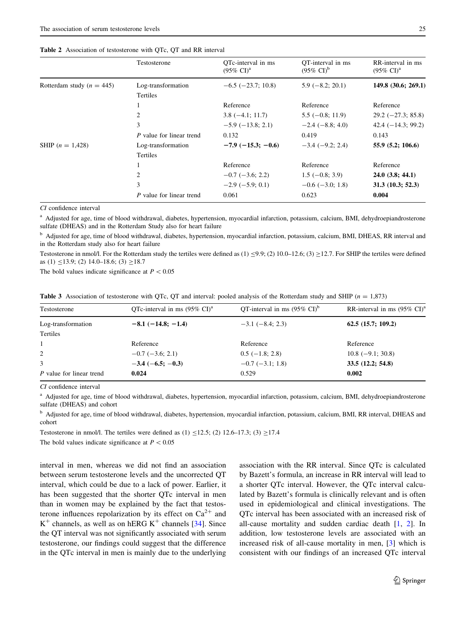<span id="page-4-0"></span>

|  |  |  | <b>Table 2</b> Association of testosterone with QTc, QT and RR interval |  |  |  |  |  |  |  |
|--|--|--|-------------------------------------------------------------------------|--|--|--|--|--|--|--|
|--|--|--|-------------------------------------------------------------------------|--|--|--|--|--|--|--|

|                               | Testosterone             | OTc-interval in ms<br>$(95\% \text{ Cl})^{\text{a}}$ | QT-interval in ms<br>$(95\% \text{ CI})^{\text{b}}$ | RR-interval in ms<br>$(95\% \text{ Cl})^{\text{a}}$ |
|-------------------------------|--------------------------|------------------------------------------------------|-----------------------------------------------------|-----------------------------------------------------|
| Rotterdam study ( $n = 445$ ) | Log-transformation       | $-6.5$ ( $-23.7$ ; 10.8)                             | $5.9(-8.2; 20.1)$                                   | 149.8 (30.6; 269.1)                                 |
|                               | Tertiles                 |                                                      |                                                     |                                                     |
|                               |                          | Reference                                            | Reference                                           | Reference                                           |
|                               | $\overline{c}$           | $3.8(-4.1; 11.7)$                                    | $5.5(-0.8; 11.9)$                                   | $29.2 (-27.3; 85.8)$                                |
|                               | 3                        | $-5.9$ ( $-13.8$ ; 2.1)                              | $-2.4$ ( $-8.8$ ; 4.0)                              | $42.4 (-14.3; 99.2)$                                |
|                               | P value for linear trend | 0.132                                                | 0.419                                               | 0.143                                               |
| SHIP $(n = 1,428)$            | Log-transformation       | $-7.9$ ( $-15.3$ ; $-0.6$ )                          | $-3.4$ ( $-9.2$ ; 2.4)                              | 55.9(5.2; 106.6)                                    |
|                               | <b>Tertiles</b>          |                                                      |                                                     |                                                     |
|                               |                          | Reference                                            | Reference                                           | Reference                                           |
|                               | $\overline{c}$           | $-0.7$ ( $-3.6$ ; 2.2)                               | $1.5(-0.8; 3.9)$                                    | 24.0(3.8; 44.1)                                     |
|                               | 3                        | $-2.9$ ( $-5.9$ ; 0.1)                               | $-0.6$ ( $-3.0$ ; 1.8)                              | 31.3(10.3; 52.3)                                    |
|                               | P value for linear trend | 0.061                                                | 0.623                                               | 0.004                                               |

CI confidence interval

<sup>a</sup> Adjusted for age, time of blood withdrawal, diabetes, hypertension, myocardial infarction, potassium, calcium, BMI, dehydroepiandrosterone sulfate (DHEAS) and in the Rotterdam Study also for heart failure

<sup>b</sup> Adjusted for age, time of blood withdrawal, diabetes, hypertension, myocardial infarction, potassium, calcium, BMI, DHEAS, RR interval and in the Rotterdam study also for heart failure

Testosterone in nmol/l. For the Rotterdam study the tertiles were defined as (1) <9.9; (2)  $10.0-12.6$ ; (3) >12.7. For SHIP the tertiles were defined as (1)  $\leq$ 13.9; (2) 14.0–18.6; (3)  $\geq$ 18.7

The bold values indicate significance at  $P < 0.05$ 

|  | <b>Table 3</b> Association of testosterone with QTc, QT and interval: pooled analysis of the Rotterdam study and SHIP ( $n = 1,873$ ) |
|--|---------------------------------------------------------------------------------------------------------------------------------------|
|--|---------------------------------------------------------------------------------------------------------------------------------------|

| Testosterone             | OTc-interval in ms $(95\% \text{ CI})^{\text{a}}$ | OT-interval in ms $(95\% \text{ CI})^6$ | RR-interval in ms $(95\% \text{ CI})^{\text{a}}$ |
|--------------------------|---------------------------------------------------|-----------------------------------------|--------------------------------------------------|
| Log-transformation       | $-8.1(-14.8;-1.4)$                                | $-3.1$ $(-8.4; 2.3)$                    | 62.5(15.7; 109.2)                                |
| Tertiles                 |                                                   |                                         |                                                  |
| $\mathbf{1}$             | Reference                                         | Reference                               | Reference                                        |
| $\overline{2}$           | $-0.7$ ( $-3.6$ ; 2.1)                            | $0.5$ ( $-1.8$ ; 2.8)                   | $10.8$ (-9.1; 30.8)                              |
|                          | $-3.4(-6.5;-0.3)$                                 | $-0.7$ ( $-3.1$ ; 1.8)                  | 33.5(12.2; 54.8)                                 |
| P value for linear trend | 0.024                                             | 0.529                                   | 0.002                                            |

CI confidence interval

<sup>a</sup> Adjusted for age, time of blood withdrawal, diabetes, hypertension, myocardial infarction, potassium, calcium, BMI, dehydroepiandrosterone sulfate (DHEAS) and cohort

<sup>b</sup> Adjusted for age, time of blood withdrawal, diabetes, hypertension, myocardial infarction, potassium, calcium, BMI, RR interval, DHEAS and cohort

Testosterone in nmol/l. The tertiles were defined as (1)  $\leq$ 12.5; (2) 12.6–17.3; (3)  $\geq$ 17.4

The bold values indicate significance at  $P < 0.05$ 

interval in men, whereas we did not find an association between serum testosterone levels and the uncorrected QT interval, which could be due to a lack of power. Earlier, it has been suggested that the shorter QTc interval in men than in women may be explained by the fact that testosterone influences repolarization by its effect on  $Ca^{2+}$  and  $K^+$  channels, as well as on hERG  $K^+$  channels [\[34](#page-6-0)]. Since the QT interval was not significantly associated with serum testosterone, our findings could suggest that the difference in the QTc interval in men is mainly due to the underlying

association with the RR interval. Since QTc is calculated by Bazett's formula, an increase in RR interval will lead to a shorter QTc interval. However, the QTc interval calculated by Bazett's formula is clinically relevant and is often used in epidemiological and clinical investigations. The QTc interval has been associated with an increased risk of all-cause mortality and sudden cardiac death [\[1](#page-5-0), [2\]](#page-5-0). In addition, low testosterone levels are associated with an increased risk of all-cause mortality in men, [\[3](#page-5-0)] which is consistent with our findings of an increased QTc interval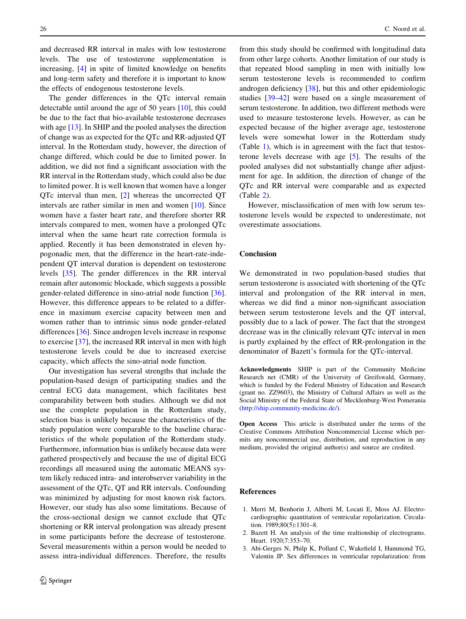<span id="page-5-0"></span>and decreased RR interval in males with low testosterone levels. The use of testosterone supplementation is increasing, [\[4](#page-6-0)] in spite of limited knowledge on benefits and long-term safety and therefore it is important to know the effects of endogenous testosterone levels.

The gender differences in the QTc interval remain detectable until around the age of 50 years [[10\]](#page-6-0), this could be due to the fact that bio-available testosterone decreases with age [\[13](#page-6-0)]. In SHIP and the pooled analyses the direction of change was as expected for the QTc and RR-adjusted QT interval. In the Rotterdam study, however, the direction of change differed, which could be due to limited power. In addition, we did not find a significant association with the RR interval in the Rotterdam study, which could also be due to limited power. It is well known that women have a longer QTc interval than men, [2] whereas the uncorrected QT intervals are rather similar in men and women [[10\]](#page-6-0). Since women have a faster heart rate, and therefore shorter RR intervals compared to men, women have a prolonged QTc interval when the same heart rate correction formula is applied. Recently it has been demonstrated in eleven hypogonadic men, that the difference in the heart-rate-independent QT interval duration is dependent on testosterone levels [\[35](#page-6-0)]. The gender differences in the RR interval remain after autonomic blockade, which suggests a possible gender-related difference in sino-atrial node function [\[36](#page-6-0)]. However, this difference appears to be related to a difference in maximum exercise capacity between men and women rather than to intrinsic sinus node gender-related differences [\[36](#page-6-0)]. Since androgen levels increase in response to exercise [[37\]](#page-6-0), the increased RR interval in men with high testosterone levels could be due to increased exercise capacity, which affects the sino-atrial node function.

Our investigation has several strengths that include the population-based design of participating studies and the central ECG data management, which facilitates best comparability between both studies. Although we did not use the complete population in the Rotterdam study, selection bias is unlikely because the characteristics of the study population were comparable to the baseline characteristics of the whole population of the Rotterdam study. Furthermore, information bias is unlikely because data were gathered prospectively and because the use of digital ECG recordings all measured using the automatic MEANS system likely reduced intra- and interobserver variability in the assessment of the QTc, QT and RR intervals. Confounding was minimized by adjusting for most known risk factors. However, our study has also some limitations. Because of the cross-sectional design we cannot exclude that QTc shortening or RR interval prolongation was already present in some participants before the decrease of testosterone. Several measurements within a person would be needed to assess intra-individual differences. Therefore, the results from this study should be confirmed with longitudinal data from other large cohorts. Another limitation of our study is that repeated blood sampling in men with initially low serum testosterone levels is recommended to confirm androgen deficiency [[38\]](#page-6-0), but this and other epidemiologic studies [[39–](#page-6-0)[42\]](#page-7-0) were based on a single measurement of serum testosterone. In addition, two different methods were used to measure testosterone levels. However, as can be expected because of the higher average age, testosterone levels were somewhat lower in the Rotterdam study (Table [1\)](#page-3-0), which is in agreement with the fact that testosterone levels decrease with age [\[5](#page-6-0)]. The results of the pooled analyses did not substantially change after adjustment for age. In addition, the direction of change of the QTc and RR interval were comparable and as expected (Table [2\)](#page-4-0).

However, misclassification of men with low serum testosterone levels would be expected to underestimate, not overestimate associations.

## Conclusion

We demonstrated in two population-based studies that serum testosterone is associated with shortening of the QTc interval and prolongation of the RR interval in men, whereas we did find a minor non-significant association between serum testosterone levels and the QT interval, possibly due to a lack of power. The fact that the strongest decrease was in the clinically relevant QTc interval in men is partly explained by the effect of RR-prolongation in the denominator of Bazett's formula for the QTc-interval.

Acknowledgments SHIP is part of the Community Medicine Research net (CMR) of the University of Greifswald, Germany, which is funded by the Federal Ministry of Education and Research (grant no. ZZ9603), the Ministry of Cultural Affairs as well as the Social Ministry of the Federal State of Mecklenburg-West Pomerania ([http://ship.community-medicine.de/\)](http://ship.community-medicine.de/).

Open Access This article is distributed under the terms of the Creative Commons Attribution Noncommercial License which permits any noncommercial use, distribution, and reproduction in any medium, provided the original author(s) and source are credited.

# References

- 1. Merri M, Benhorin J, Alberti M, Locati E, Moss AJ. Electrocardiographic quantitation of ventricular repolarization. Circulation. 1989;80(5):1301–8.
- 2. Bazett H. An analysis of the time realtionship of electrograms. Heart. 1920;7:353–70.
- 3. Abi-Gerges N, Philp K, Pollard C, Wakefield I, Hammond TG, Valentin JP. Sex differences in ventricular repolarization: from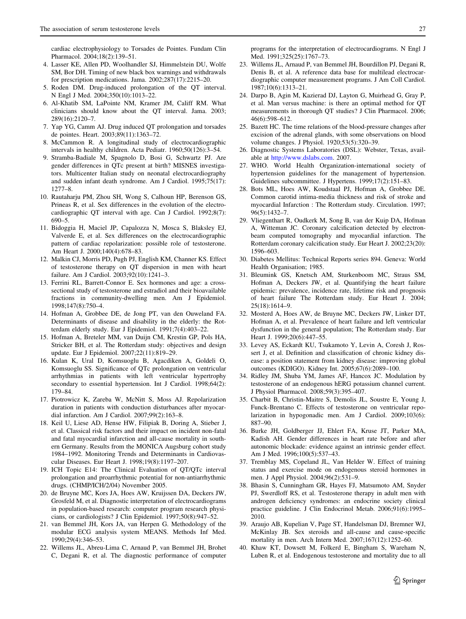<span id="page-6-0"></span>cardiac electrophysiology to Torsades de Pointes. Fundam Clin Pharmacol. 2004;18(2):139–51.

- 4. Lasser KE, Allen PD, Woolhandler SJ, Himmelstein DU, Wolfe SM, Bor DH. Timing of new black box warnings and withdrawals for prescription medications. Jama. 2002;287(17):2215–20.
- 5. Roden DM. Drug-induced prolongation of the QT interval. N Engl J Med. 2004;350(10):1013–22.
- 6. Al-Khatib SM, LaPointe NM, Kramer JM, Califf RM. What clinicians should know about the QT interval. Jama. 2003; 289(16):2120–7.
- 7. Yap YG, Camm AJ. Drug induced QT prolongation and torsades de pointes. Heart. 2003;89(11):1363–72.
- 8. McCammon R. A longitudinal study of electrocardiographic intervals in healthy children. Acta Pediatr. 1960;50(126):3–54.
- 9. Stramba-Badiale M, Spagnolo D, Bosi G, Schwartz PJ. Are gender differences in QTc present at birth? MISNES investigators. Multicenter Italian study on neonatal electrocardiography and sudden infant death syndrome. Am J Cardiol. 1995;75(17): 1277–8.
- 10. Rautaharju PM, Zhou SH, Wong S, Calhoun HP, Berenson GS, Prineas R, et al. Sex differences in the evolution of the electrocardiographic QT interval with age. Can J Cardiol. 1992;8(7): 690–5.
- 11. Bidoggia H, Maciel JP, Capalozza N, Mosca S, Blaksley EJ, Valverde E, et al. Sex differences on the electrocardiographic pattern of cardiac repolarization: possible role of testosterone. Am Heart J. 2000;140(4):678–83.
- 12. Malkin CJ, Morris PD, Pugh PJ, English KM, Channer KS. Effect of testosterone therapy on QT dispersion in men with heart failure. Am J Cardiol. 2003;92(10):1241–3.
- 13. Ferrini RL, Barrett-Connor E. Sex hormones and age: a crosssectional study of testosterone and estradiol and their bioavailable fractions in community-dwelling men. Am J Epidemiol. 1998;147(8):750–4.
- 14. Hofman A, Grobbee DE, de Jong PT, van den Ouweland FA. Determinants of disease and disability in the elderly: the Rotterdam elderly study. Eur J Epidemiol. 1991;7(4):403–22.
- 15. Hofman A, Breteler MM, van Duijn CM, Krestin GP, Pols HA, Stricker BH, et al. The Rotterdam study: objectives and design update. Eur J Epidemiol. 2007;22(11):819–29.
- 16. Kulan K, Ural D, Komsuoglu B, Agacdiken A, Goldeli O, Komsuoglu SS. Significance of QTc prolongation on ventricular arrhythmias in patients with left ventricular hypertrophy secondary to essential hypertension. Int J Cardiol. 1998;64(2): 179–84.
- 17. Piotrowicz K, Zareba W, McNitt S, Moss AJ. Repolarization duration in patients with conduction disturbances after myocardial infarction. Am J Cardiol. 2007;99(2):163–8.
- 18. Keil U, Liese AD, Hense HW, Filipiak B, Doring A, Stieber J, et al. Classical risk factors and their impact on incident non-fatal and fatal myocardial infarction and all-cause mortality in southern Germany. Results from the MONICA Augsburg cohort study 1984–1992. Monitoring Trends and Determinants in Cardiovascular Diseases. Eur Heart J. 1998;19(8):1197–207.
- 19. ICH Topic E14: The Clinical Evaluation of QT/QTc interval prolongation and proarrhythmic potential for non-antiarrhythmic drugs. (CHMP/ICH/2/04) November 2005.
- 20. de Bruyne MC, Kors JA, Hoes AW, Kruijssen DA, Deckers JW, Grosfeld M, et al. Diagnostic interpretation of electrocardiograms in population-based research: computer program research physicians, or cardiologists? J Clin Epidemiol. 1997;50(8):947–52.
- 21. van Bemmel JH, Kors JA, van Herpen G. Methodology of the modular ECG analysis system MEANS. Methods Inf Med. 1990;29(4):346–53.
- 22. Willems JL, Abreu-Lima C, Arnaud P, van Bemmel JH, Brohet C, Degani R, et al. The diagnostic performance of computer

programs for the interpretation of electrocardiograms. N Engl J Med. 1991;325(25):1767–73.

- 23. Willems JL, Arnaud P, van Bemmel JH, Bourdillon PJ, Degani R, Denis B, et al. A reference data base for multilead electrocardiographic computer measurement programs. J Am Coll Cardiol. 1987;10(6):1313–21.
- 24. Darpo B, Agin M, Kazierad DJ, Layton G, Muirhead G, Gray P, et al. Man versus machine: is there an optimal method for QT measurements in thorough QT studies? J Clin Pharmacol. 2006; 46(6):598–612.
- 25. Bazett HC. The time relations of the blood-pressure changes after excision of the adrenal glands, with some observations on blood volume changes. J Physiol. 1920;53(5):320–39.
- 26. Diagnostic Systems Laboratories (DSL): Webster, Texas, available at <http://www.dslabs.com>. 2007.
- 27. WHO. World Health Organization-international society of hypertension guidelines for the management of hypertension. Guidelines subcommittee. J Hypertens. 1999;17(2):151–83.
- 28. Bots ML, Hoes AW, Koudstaal PJ, Hofman A, Grobbee DE. Common carotid intima-media thickness and risk of stroke and myocardial Infarction : The Rotterdam study. Circulation. 1997; 96(5):1432–7.
- 29. Vliegenthart R, Oudkerk M, Song B, van der Kuip DA, Hofman A, Witteman JC. Coronary calcification detected by electronbeam computed tomography and myocardial infarction. The Rotterdam coronary calcification study. Eur Heart J. 2002;23(20): 1596–603.
- 30. Diabetes Mellitus: Technical Reports series 894. Geneva: World Health Organisation; 1985.
- 31. Bleumink GS, Knetsch AM, Sturkenboom MC, Straus SM, Hofman A, Deckers JW, et al. Quantifying the heart failure epidemic: prevalence, incidence rate, lifetime risk and prognosis of heart failure The Rotterdam study. Eur Heart J. 2004; 25(18):1614–9.
- 32. Mosterd A, Hoes AW, de Bruyne MC, Deckers JW, Linker DT, Hofman A, et al. Prevalence of heart failure and left ventricular dysfunction in the general population; The Rotterdam study. Eur Heart J. 1999;20(6):447–55.
- 33. Levey AS, Eckardt KU, Tsukamoto Y, Levin A, Coresh J, Rossert J, et al. Definition and classification of chronic kidney disease: a position statement from kidney disease: improving global outcomes (KDIGO). Kidney Int. 2005;67(6):2089–100.
- 34. Ridley JM, Shuba YM, James AF, Hancox JC. Modulation by testosterone of an endogenous hERG potassium channel current. J Physiol Pharmacol. 2008;59(3):395–407.
- 35. Charbit B, Christin-Maitre S, Demolis JL, Soustre E, Young J, Funck-Brentano C. Effects of testosterone on ventricular repolarization in hypogonadic men. Am J Cardiol. 2009;103(6): 887–90.
- 36. Burke JH, Goldberger JJ, Ehlert FA, Kruse JT, Parker MA, Kadish AH. Gender differences in heart rate before and after autonomic blockade: evidence against an intrinsic gender effect. Am J Med. 1996;100(5):537–43.
- 37. Tremblay MS, Copeland JL, Van Helder W. Effect of training status and exercise mode on endogenous steroid hormones in men. J Appl Physiol. 2004;96(2):531–9.
- 38. Bhasin S, Cunningham GR, Hayes FJ, Matsumoto AM, Snyder PJ, Swerdloff RS, et al. Testosterone therapy in adult men with androgen deficiency syndromes: an endocrine society clinical practice guideline. J Clin Endocrinol Metab. 2006;91(6):1995– 2010.
- 39. Araujo AB, Kupelian V, Page ST, Handelsman DJ, Bremner WJ, McKinlay JB. Sex steroids and all-cause and cause-specific mortality in men. Arch Intern Med. 2007;167(12):1252–60.
- 40. Khaw KT, Dowsett M, Folkerd E, Bingham S, Wareham N, Luben R, et al. Endogenous testosterone and mortality due to all